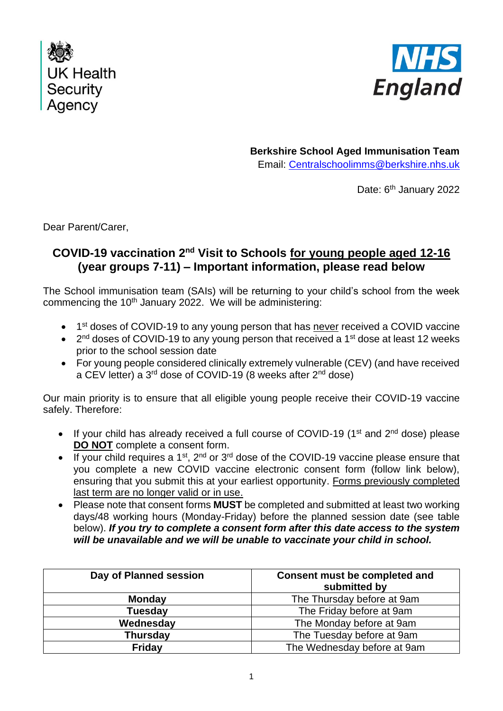



**Berkshire School Aged Immunisation Team** Email: [Centralschoolimms@berkshire.nhs.uk](mailto:Centralschoolimms@berkshire.nhs.uk)

Date: 6<sup>th</sup> January 2022

Dear Parent/Carer,

## **COVID-19 vaccination 2nd Visit to Schools for young people aged 12-16 (year groups 7-11) – Important information, please read below**

The School immunisation team (SAIs) will be returning to your child's school from the week commencing the 10<sup>th</sup> January 2022. We will be administering:

- 1<sup>st</sup> doses of COVID-19 to any young person that has never received a COVID vaccine
- $\bullet$  2<sup>nd</sup> doses of COVID-19 to any young person that received a 1<sup>st</sup> dose at least 12 weeks prior to the school session date
- For young people considered clinically extremely vulnerable (CEV) (and have received a CEV letter) a 3<sup>rd</sup> dose of COVID-19 (8 weeks after 2<sup>nd</sup> dose)

Our main priority is to ensure that all eligible young people receive their COVID-19 vaccine safely. Therefore:

- If your child has already received a full course of COVID-19 ( $1<sup>st</sup>$  and  $2<sup>nd</sup>$  dose) please **DO NOT** complete a consent form.
- If your child requires a 1<sup>st</sup>, 2<sup>nd</sup> or 3<sup>rd</sup> dose of the COVID-19 vaccine please ensure that you complete a new COVID vaccine electronic consent form (follow link below), ensuring that you submit this at your earliest opportunity. Forms previously completed last term are no longer valid or in use.
- Please note that consent forms **MUST** be completed and submitted at least two working days/48 working hours (Monday-Friday) before the planned session date (see table below). *If you try to complete a consent form after this date access to the system will be unavailable and we will be unable to vaccinate your child in school.*

| Day of Planned session | Consent must be completed and<br>submitted by |
|------------------------|-----------------------------------------------|
| <b>Monday</b>          | The Thursday before at 9am                    |
| <b>Tuesday</b>         | The Friday before at 9am                      |
| Wednesday              | The Monday before at 9am                      |
| <b>Thursday</b>        | The Tuesday before at 9am                     |
| <b>Friday</b>          | The Wednesday before at 9am                   |